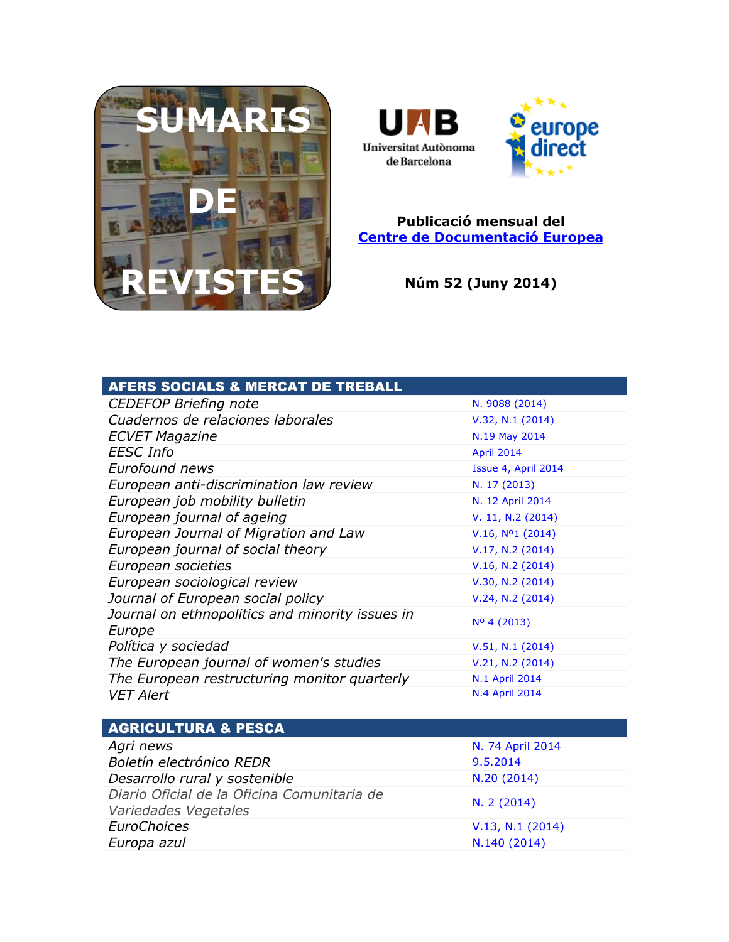



## **Publicació mensual del [Centre de Documentació Europea](http://www.uab.cat/biblioteques/cde/)**

**Núm 52 (Juny 2014)**

| <b>AFERS SOCIALS &amp; MERCAT DE TREBALL</b>                        |                     |
|---------------------------------------------------------------------|---------------------|
| <b>CEDEFOP Briefing note</b>                                        | N. 9088 (2014)      |
| Cuadernos de relaciones laborales                                   | V.32, N.1 (2014)    |
| <b>ECVET Magazine</b>                                               | N.19 May 2014       |
| <b>EESC Info</b>                                                    | April 2014          |
| Eurofound news                                                      | Issue 4, April 2014 |
| European anti-discrimination law review                             | N. 17 (2013)        |
| European job mobility bulletin                                      | N. 12 April 2014    |
| European journal of ageing                                          | V. 11, N.2 (2014)   |
| European Journal of Migration and Law                               | $V.16, No1$ (2014)  |
| European journal of social theory                                   | V.17, N.2 (2014)    |
| European societies                                                  | V.16, N.2 (2014)    |
| European sociological review                                        | V.30, N.2 (2014)    |
| Journal of European social policy                                   | V.24, N.2 (2014)    |
| Journal on ethnopolitics and minority issues in<br>Europe           | Nº 4 (2013)         |
| Política y sociedad                                                 | V.51, N.1 (2014)    |
| The European journal of women's studies                             | V.21, N.2 (2014)    |
| The European restructuring monitor quarterly                        | N.1 April 2014      |
| <b>VET Alert</b>                                                    | N.4 April 2014      |
|                                                                     |                     |
| <b>AGRICULTURA &amp; PESCA</b>                                      |                     |
| Agri news                                                           | N. 74 April 2014    |
| Boletín electrónico REDR                                            | 9.5.2014            |
| Desarrollo rural y sostenible                                       | N.20 (2014)         |
| Diario Oficial de la Oficina Comunitaria de<br>Variedades Vegetales | N. 2 (2014)         |
| <b>EuroChoices</b>                                                  | V.13, N.1 (2014)    |
| Europa azul                                                         | N.140 (2014)        |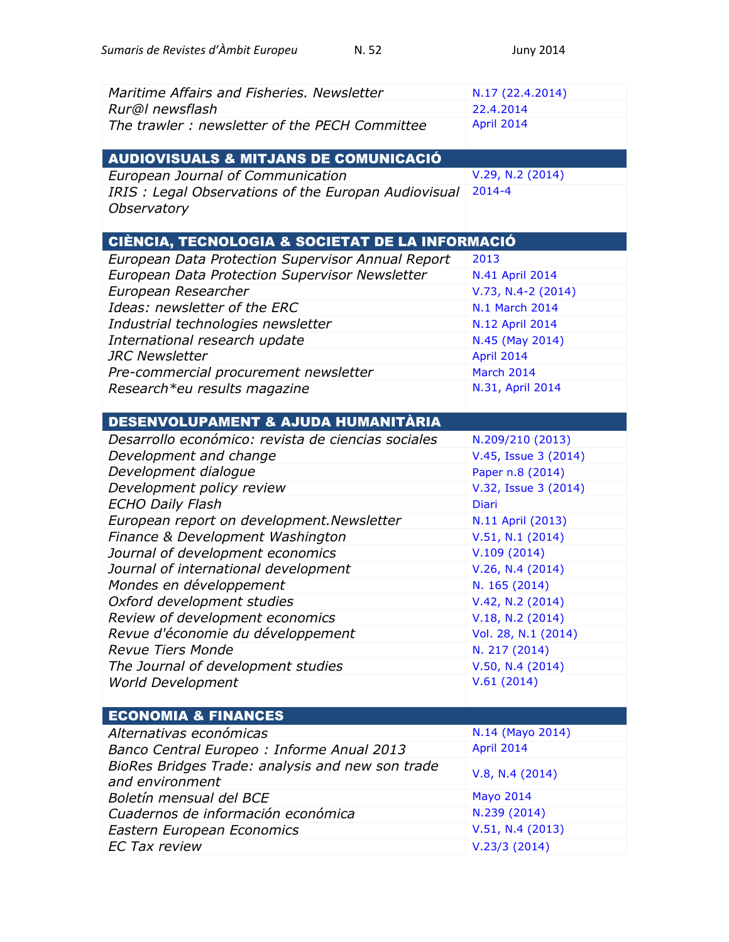| Maritime Affairs and Fisheries, Newsletter          | N.17 (22.4.2014)     |
|-----------------------------------------------------|----------------------|
| Rur@l newsflash                                     | 22.4.2014            |
| The trawler: newsletter of the PECH Committee       | April 2014           |
| <b>AUDIOVISUALS &amp; MITJANS DE COMUNICACIÓ</b>    |                      |
| European Journal of Communication                   | V.29, N.2 (2014)     |
| IRIS: Legal Observations of the Europan Audiovisual | $2014 - 4$           |
| Observatory                                         |                      |
|                                                     |                      |
| CIÈNCIA, TECNOLOGIA & SOCIETAT DE LA INFORMACIÓ     |                      |
| European Data Protection Supervisor Annual Report   | 2013                 |
| European Data Protection Supervisor Newsletter      | N.41 April 2014      |
| European Researcher                                 | V.73, N.4-2 (2014)   |
| Ideas: newsletter of the ERC                        | N.1 March 2014       |
| Industrial technologies newsletter                  | N.12 April 2014      |
| International research update                       | N.45 (May 2014)      |
| <b>JRC Newsletter</b>                               | April 2014           |
| Pre-commercial procurement newsletter               | March 2014           |
| Research*eu results magazine                        | N.31, April 2014     |
|                                                     |                      |
| DESENVOLUPAMENT & AJUDA HUMANITÀRIA                 |                      |
| Desarrollo económico: revista de ciencias sociales  | N.209/210 (2013)     |
| Development and change                              | V.45, Issue 3 (2014) |
| Development dialogue                                | Paper n.8 (2014)     |
| Development policy review                           | V.32, Issue 3 (2014) |
| <b>ECHO Daily Flash</b>                             | <b>Diari</b>         |
| European report on development. Newsletter          | N.11 April (2013)    |
| Finance & Development Washington                    | V.51, N.1 (2014)     |
| Journal of development economics                    | V.109(2014)          |
| Journal of international development                | V.26, N.4 (2014)     |
| Mondes en développement                             | N. 165 (2014)        |
| Oxford development studies                          | V.42, N.2 (2014)     |
| Review of development economics                     | V.18, N.2 (2014)     |
| Revue d'économie du développement                   | Vol. 28, N.1 (2014)  |
| <b>Revue Tiers Monde</b>                            | N. 217 (2014)        |
| The Journal of development studies                  | V.50, N.4(2014)      |
| <b>World Development</b>                            | V.61(2014)           |
|                                                     |                      |
| <b>ECONOMIA &amp; FINANCES</b>                      |                      |
| Alternativas económicas                             | N.14 (Mayo 2014)     |
| Banco Central Europeo: Informe Anual 2013           | April 2014           |
| BioRes Bridges Trade: analysis and new son trade    | V.8, N.4 (2014)      |
| and environment                                     |                      |
| Boletín mensual del BCE                             | <b>Mayo 2014</b>     |
| Cuadernos de información económica                  | N.239 (2014)         |
| Eastern European Economics                          | V.51, N.4 (2013)     |
| <b>EC Tax review</b>                                | V.23/3(2014)         |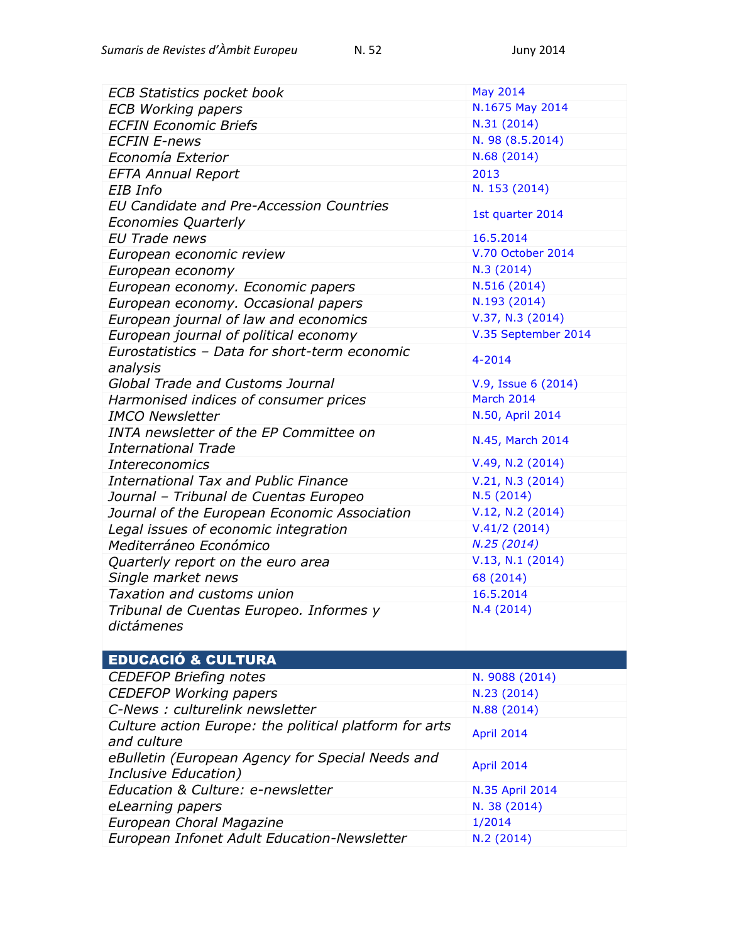| <b>ECB Statistics pocket book</b>                      | May 2014            |
|--------------------------------------------------------|---------------------|
| <b>ECB Working papers</b>                              | N.1675 May 2014     |
| <b>ECFIN Economic Briefs</b>                           | N.31(2014)          |
| <b>ECFIN E-news</b>                                    | N. 98 (8.5.2014)    |
| Economía Exterior                                      | N.68 (2014)         |
| <b>EFTA Annual Report</b>                              | 2013                |
| EIB Info                                               | N. 153 (2014)       |
| <b>EU Candidate and Pre-Accession Countries</b>        |                     |
| <b>Economies Quarterly</b>                             | 1st quarter 2014    |
| <b>EU Trade news</b>                                   | 16.5.2014           |
| European economic review                               | V.70 October 2014   |
| European economy                                       | N.3(2014)           |
| European economy. Economic papers                      | N.516 (2014)        |
| European economy. Occasional papers                    | N.193 (2014)        |
| European journal of law and economics                  | V.37, N.3 (2014)    |
| European journal of political economy                  | V.35 September 2014 |
| Eurostatistics - Data for short-term economic          |                     |
| analysis                                               | $4 - 2014$          |
| Global Trade and Customs Journal                       | V.9, Issue 6 (2014) |
| Harmonised indices of consumer prices                  | <b>March 2014</b>   |
| <b>IMCO Newsletter</b>                                 | N.50, April 2014    |
| <b>INTA newsletter of the EP Committee on</b>          |                     |
| <b>International Trade</b>                             | N.45, March 2014    |
| <b>Intereconomics</b>                                  | V.49, N.2 (2014)    |
| <b>International Tax and Public Finance</b>            | V.21, N.3 (2014)    |
| Journal - Tribunal de Cuentas Europeo                  | N.5(2014)           |
| Journal of the European Economic Association           | V.12, N.2 (2014)    |
| Legal issues of economic integration                   | V.41/2(2014)        |
| Mediterráneo Económico                                 | N.25(2014)          |
| Quarterly report on the euro area                      | V.13, N.1 (2014)    |
| Single market news                                     | 68 (2014)           |
| Taxation and customs union                             | 16.5.2014           |
| Tribunal de Cuentas Europeo. Informes y                | N.4(2014)           |
| dictámenes                                             |                     |
|                                                        |                     |
| <b>EDUCACIÓ &amp; CULTURA</b>                          |                     |
| <b>CEDEFOP Briefing notes</b>                          | N. 9088 (2014)      |
| <b>CEDEFOP Working papers</b>                          | N.23 (2014)         |
| C-News : culturelink newsletter                        | N.88 (2014)         |
| Culture action Europe: the political platform for arts | April 2014          |
| and culture                                            |                     |
| eBulletin (European Agency for Special Needs and       | April 2014          |
| Inclusive Education)                                   |                     |
| Education & Culture: e-newsletter                      | N.35 April 2014     |
| eLearning papers                                       | N. 38 (2014)        |
| European Choral Magazine                               | 1/2014              |
| European Infonet Adult Education-Newsletter            | N.2 (2014)          |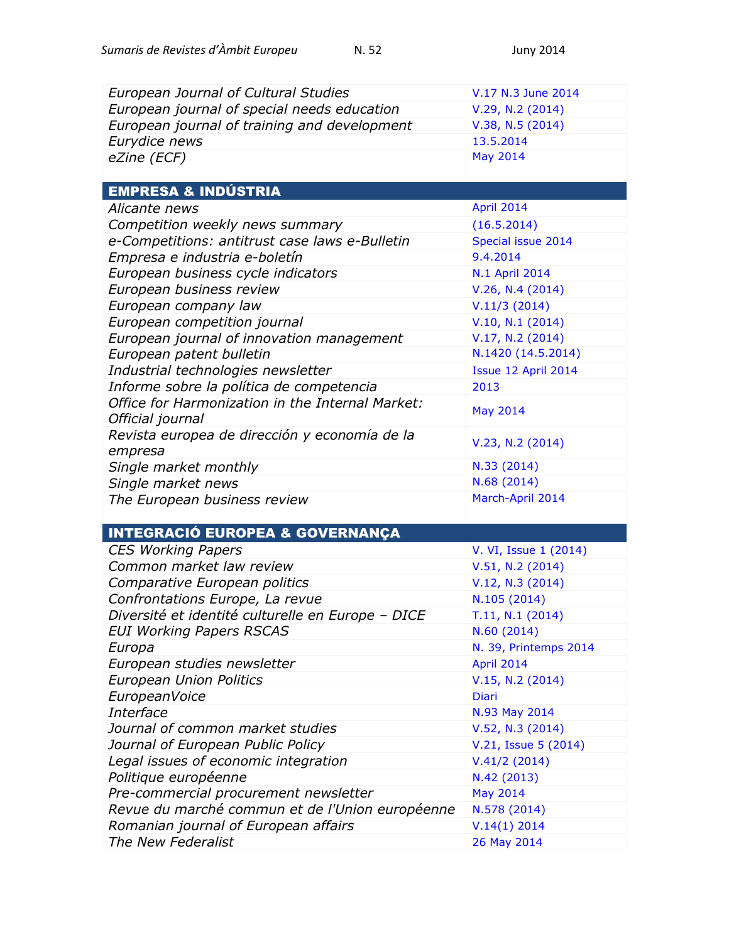| <b>European Journal of Cultural Studies</b>       | V.17 N.3 June 2014    |
|---------------------------------------------------|-----------------------|
| European journal of special needs education       | V.29, N.2 (2014)      |
| European journal of training and development      | V.38, N.5 (2014)      |
|                                                   | 13.5.2014             |
| Eurydice news                                     | May 2014              |
| eZine (ECF)                                       |                       |
| <b>EMPRESA &amp; INDÚSTRIA</b>                    |                       |
| <i>Alicante news</i>                              | April 2014            |
| Competition weekly news summary                   | (16.5.2014)           |
| e-Competitions: antitrust case laws e-Bulletin    | Special issue 2014    |
| Empresa e industria e-boletín                     | 9.4.2014              |
| European business cycle indicators                | N.1 April 2014        |
| European business review                          | V.26, N.4 (2014)      |
| European company law                              | V.11/3(2014)          |
| European competition journal                      | V.10, N.1 (2014)      |
| European journal of innovation management         | V.17, N.2 (2014)      |
| European patent bulletin                          | N.1420 (14.5.2014)    |
| Industrial technologies newsletter                | Issue 12 April 2014   |
| Informe sobre la política de competencia          | 2013                  |
| Office for Harmonization in the Internal Market:  |                       |
| Official journal                                  | <b>May 2014</b>       |
| Revista europea de dirección y economía de la     |                       |
| empresa                                           | V.23, N.2 (2014)      |
| Single market monthly                             | N.33 (2014)           |
| Single market news                                | N.68 (2014)           |
| The European business review                      | March-April 2014      |
|                                                   |                       |
| <b>INTEGRACIÓ EUROPEA &amp; GOVERNANÇA</b>        |                       |
| <b>CES Working Papers</b>                         | V. VI, Issue 1 (2014) |
| Common market law review                          | V.51, N.2 (2014)      |
| Comparative European politics                     | V.12, N.3 (2014)      |
| Confrontations Europe, La revue                   | N.105 (2014)          |
| Diversité et identité culturelle en Europe - DICE | T.11, N.1 (2014)      |
| <b>EUI Working Papers RSCAS</b>                   | N.60(2014)            |
| Europa                                            | N. 39, Printemps 2014 |
| European studies newsletter                       | April 2014            |
| <b>European Union Politics</b>                    | V.15, N.2 (2014)      |
| EuropeanVoice                                     | <b>Diari</b>          |
| Interface                                         | N.93 May 2014         |
| Journal of common market studies                  | V.52, N.3 (2014)      |
| Journal of European Public Policy                 | V.21, Issue 5 (2014)  |
| Legal issues of economic integration              | V.41/2(2014)          |
| Politique européenne                              | N.42 (2013)           |
| Pre-commercial procurement newsletter             | <b>May 2014</b>       |
| Revue du marché commun et de l'Union européenne   | N.578 (2014)          |
| Romanian journal of European affairs              | V.14(1) 2014          |
| The New Federalist                                | 26 May 2014           |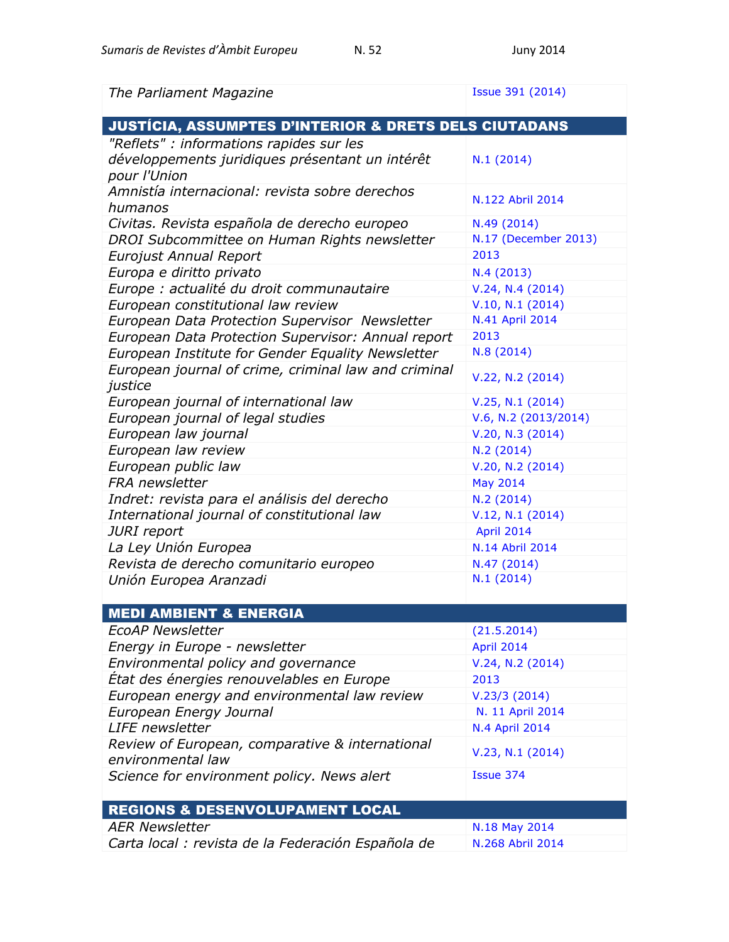| The Parliament Magazine                                              | Issue 391 (2014)      |
|----------------------------------------------------------------------|-----------------------|
| <b>JUSTÍCIA, ASSUMPTES D'INTERIOR &amp; DRETS DELS CIUTADANS</b>     |                       |
| "Reflets" : informations rapides sur les                             |                       |
| développements juridiques présentant un intérêt<br>pour l'Union      | N.1(2014)             |
| Amnistía internacional: revista sobre derechos<br>humanos            | N.122 Abril 2014      |
| Civitas. Revista española de derecho europeo                         | N.49 (2014)           |
| DROI Subcommittee on Human Rights newsletter                         | N.17 (December 2013)  |
| <b>Eurojust Annual Report</b>                                        | 2013                  |
| Europa e diritto privato                                             | N.4(2013)             |
| Europe : actualité du droit communautaire                            | V.24, N.4(2014)       |
| European constitutional law review                                   | V.10, N.1 (2014)      |
| European Data Protection Supervisor Newsletter                       | N.41 April 2014       |
| European Data Protection Supervisor: Annual report                   | 2013                  |
| European Institute for Gender Equality Newsletter                    | N.8 (2014)            |
| European journal of crime, criminal law and criminal<br>justice      | V.22, N.2 (2014)      |
| European journal of international law                                | V.25, N.1 (2014)      |
| European journal of legal studies                                    | V.6, N.2 (2013/2014)  |
| European law journal                                                 | V.20, N.3 (2014)      |
| European law review                                                  | N.2 (2014)            |
| European public law                                                  | V.20, N.2 (2014)      |
| FRA newsletter                                                       | <b>May 2014</b>       |
| Indret: revista para el análisis del derecho                         | N.2(2014)             |
| International journal of constitutional law                          | V.12, N.1 (2014)      |
| JURI report                                                          | April 2014            |
| La Ley Unión Europea                                                 | N.14 Abril 2014       |
| Revista de derecho comunitario europeo                               | N.47 (2014)           |
| Unión Europea Aranzadi                                               | N.1(2014)             |
|                                                                      |                       |
| <b>MEDI AMBIENT &amp; ENERGIA</b>                                    |                       |
| <b>EcoAP Newsletter</b>                                              | (21.5.2014)           |
| Energy in Europe - newsletter                                        | April 2014            |
| Environmental policy and governance                                  | V.24, N.2 (2014)      |
| Etat des énergies renouvelables en Europe                            | 2013                  |
| European energy and environmental law review                         | V.23/3(2014)          |
| European Energy Journal                                              | N. 11 April 2014      |
| <b>LIFE</b> newsletter                                               | <b>N.4 April 2014</b> |
| Review of European, comparative & international<br>environmental law | V.23, N.1 (2014)      |
| Science for environment policy. News alert                           | Issue 374             |
| <b>REGIONS &amp; DESENVOLUPAMENT LOCAL</b>                           |                       |
| <b>AER Newsletter</b>                                                | N.18 May 2014         |
| Carta local : revista de la Federación Española de                   | N.268 Abril 2014      |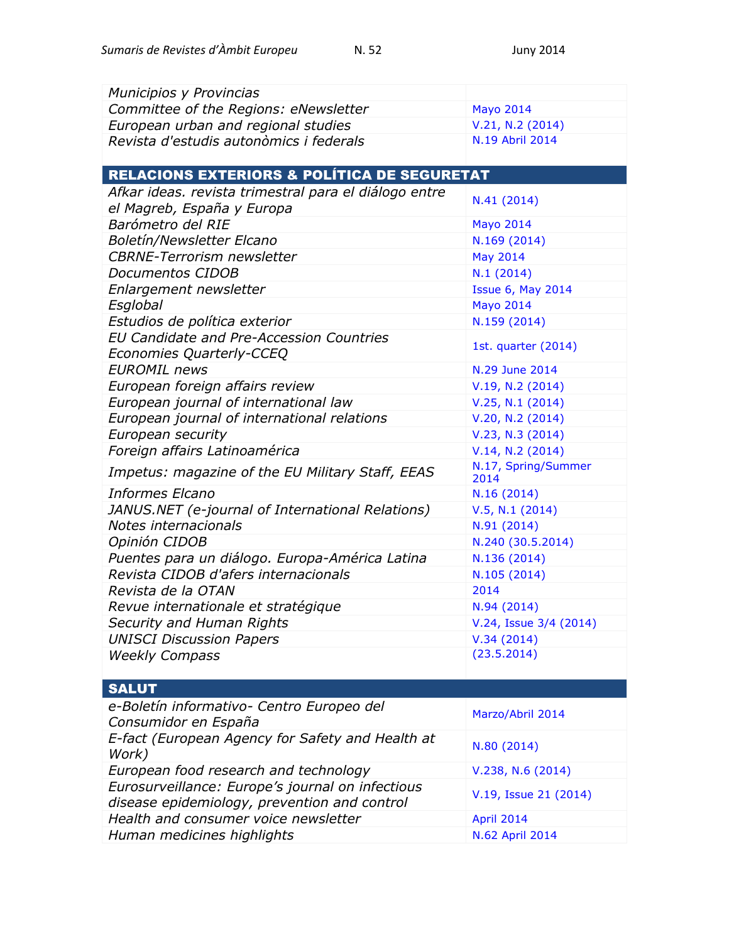| Municipios y Provincias                               |                               |
|-------------------------------------------------------|-------------------------------|
| Committee of the Regions: eNewsletter                 | <b>Mayo 2014</b>              |
| European urban and regional studies                   | V.21, N.2 (2014)              |
| Revista d'estudis autonòmics i federals               | N.19 Abril 2014               |
|                                                       |                               |
| RELACIONS EXTERIORS & POLÍTICA DE SEGURETAT           |                               |
| Afkar ideas. revista trimestral para el diálogo entre |                               |
| el Magreb, España y Europa                            | N.41 (2014)                   |
| Barómetro del RIE                                     | <b>Mayo 2014</b>              |
| <b>Boletín/Newsletter Elcano</b>                      | N.169 (2014)                  |
| <b>CBRNE-Terrorism newsletter</b>                     | <b>May 2014</b>               |
| Documentos CIDOB                                      | N.1(2014)                     |
| Enlargement newsletter                                | <b>Issue 6, May 2014</b>      |
| Esglobal                                              | <b>Mayo 2014</b>              |
| Estudios de política exterior                         | N.159 (2014)                  |
| EU Candidate and Pre-Accession Countries              |                               |
| Economies Quarterly-CCEQ                              | 1st. quarter (2014)           |
| <b>EUROMIL</b> news                                   | N.29 June 2014                |
| European foreign affairs review                       | V.19, N.2 (2014)              |
| European journal of international law                 | V.25, N.1 (2014)              |
| European journal of international relations           | V.20, N.2 (2014)              |
| European security                                     | V.23, N.3 (2014)              |
| Foreign affairs Latinoamérica                         | V.14, N.2 (2014)              |
| Impetus: magazine of the EU Military Staff, EEAS      | N.17, Spring/Summer           |
|                                                       | 2014                          |
| <b>Informes Elcano</b>                                | N.16(2014)                    |
| JANUS.NET (e-journal of International Relations)      | V.5, N.1 (2014)               |
| Notes internacionals                                  | N.91 (2014)                   |
| Opinión CIDOB                                         | N.240 (30.5.2014)             |
| Puentes para un diálogo. Europa-América Latina        | N.136 (2014)                  |
| Revista CIDOB d'afers internacionals                  | N.105 (2014)                  |
| Revista de la OTAN                                    | 2014                          |
| Revue internationale et stratégique                   | N.94 (2014)                   |
| Security and Human Rights                             |                               |
|                                                       | V.24, Issue 3/4 (2014)        |
| <b>UNISCI Discussion Papers</b>                       | V.34(2014)                    |
| <b>Weekly Compass</b>                                 | (23.5.2014)                   |
|                                                       |                               |
| <b>SALUT</b>                                          |                               |
| e-Boletín informativo- Centro Europeo del             |                               |
| Consumidor en España                                  | Marzo/Abril 2014              |
| E-fact (European Agency for Safety and Health at      |                               |
| Work)                                                 | N.80 (2014)                   |
| European food research and technology                 | V.238, N.6(2014)              |
| Eurosurveillance: Europe's journal on infectious      |                               |
| disease epidemiology, prevention and control          | V.19, Issue 21 (2014)         |
| Health and consumer voice newsletter                  | April 2014<br>N.62 April 2014 |